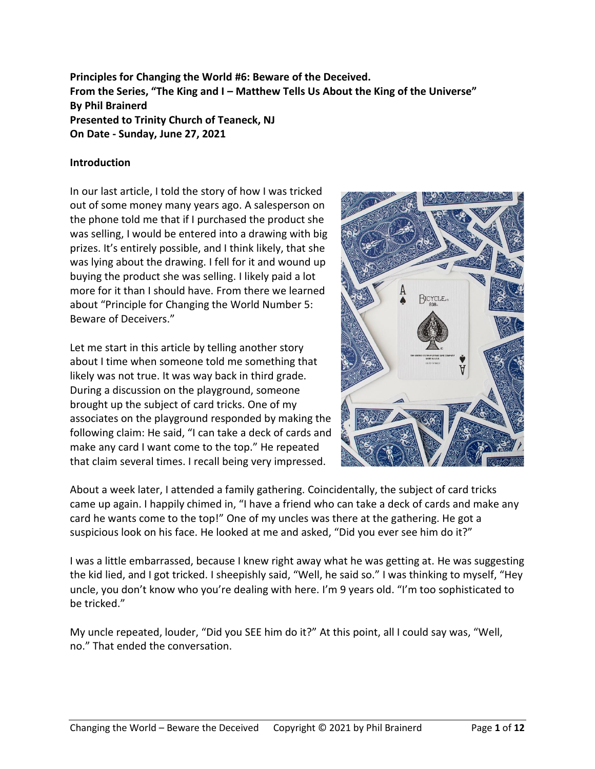**Principles for Changing the World #6: Beware of the Deceived. From the Series, "The King and I – Matthew Tells Us About the King of the Universe" By Phil Brainerd Presented to Trinity Church of Teaneck, NJ On Date - Sunday, June 27, 2021**

### **Introduction**

In our last article, I told the story of how I was tricked out of some money many years ago. A salesperson on the phone told me that if I purchased the product she was selling, I would be entered into a drawing with big prizes. It's entirely possible, and I think likely, that she was lying about the drawing. I fell for it and wound up buying the product she was selling. I likely paid a lot more for it than I should have. From there we learned about "Principle for Changing the World Number 5: Beware of Deceivers."

Let me start in this article by telling another story about I time when someone told me something that likely was not true. It was way back in third grade. During a discussion on the playground, someone brought up the subject of card tricks. One of my associates on the playground responded by making the following claim: He said, "I can take a deck of cards and make any card I want come to the top." He repeated that claim several times. I recall being very impressed.



About a week later, I attended a family gathering. Coincidentally, the subject of card tricks came up again. I happily chimed in, "I have a friend who can take a deck of cards and make any card he wants come to the top!" One of my uncles was there at the gathering. He got a suspicious look on his face. He looked at me and asked, "Did you ever see him do it?"

I was a little embarrassed, because I knew right away what he was getting at. He was suggesting the kid lied, and I got tricked. I sheepishly said, "Well, he said so." I was thinking to myself, "Hey uncle, you don't know who you're dealing with here. I'm 9 years old. "I'm too sophisticated to be tricked."

My uncle repeated, louder, "Did you SEE him do it?" At this point, all I could say was, "Well, no." That ended the conversation.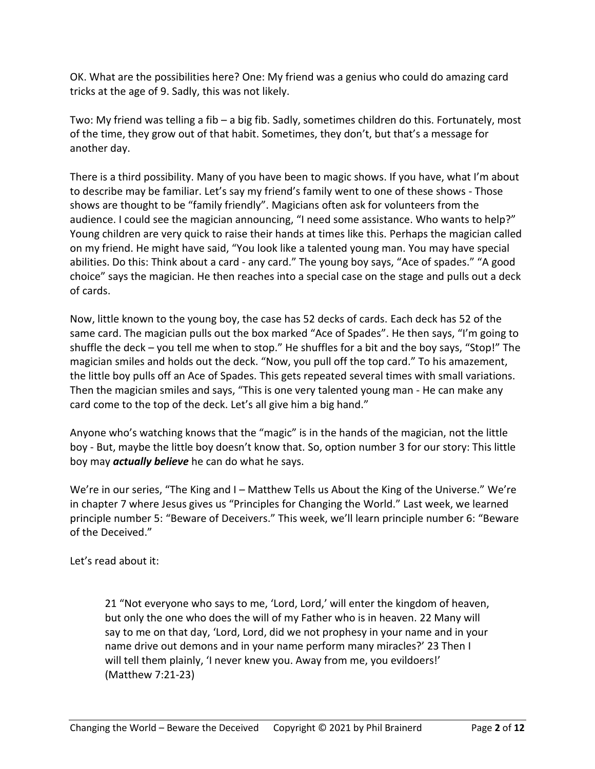OK. What are the possibilities here? One: My friend was a genius who could do amazing card tricks at the age of 9. Sadly, this was not likely.

Two: My friend was telling a fib – a big fib. Sadly, sometimes children do this. Fortunately, most of the time, they grow out of that habit. Sometimes, they don't, but that's a message for another day.

There is a third possibility. Many of you have been to magic shows. If you have, what I'm about to describe may be familiar. Let's say my friend's family went to one of these shows - Those shows are thought to be "family friendly". Magicians often ask for volunteers from the audience. I could see the magician announcing, "I need some assistance. Who wants to help?" Young children are very quick to raise their hands at times like this. Perhaps the magician called on my friend. He might have said, "You look like a talented young man. You may have special abilities. Do this: Think about a card - any card." The young boy says, "Ace of spades." "A good choice" says the magician. He then reaches into a special case on the stage and pulls out a deck of cards.

Now, little known to the young boy, the case has 52 decks of cards. Each deck has 52 of the same card. The magician pulls out the box marked "Ace of Spades". He then says, "I'm going to shuffle the deck – you tell me when to stop." He shuffles for a bit and the boy says, "Stop!" The magician smiles and holds out the deck. "Now, you pull off the top card." To his amazement, the little boy pulls off an Ace of Spades. This gets repeated several times with small variations. Then the magician smiles and says, "This is one very talented young man - He can make any card come to the top of the deck. Let's all give him a big hand."

Anyone who's watching knows that the "magic" is in the hands of the magician, not the little boy - But, maybe the little boy doesn't know that. So, option number 3 for our story: This little boy may *actually believe* he can do what he says.

We're in our series, "The King and I – Matthew Tells us About the King of the Universe." We're in chapter 7 where Jesus gives us "Principles for Changing the World." Last week, we learned principle number 5: "Beware of Deceivers." This week, we'll learn principle number 6: "Beware of the Deceived."

Let's read about it:

21 "Not everyone who says to me, 'Lord, Lord,' will enter the kingdom of heaven, but only the one who does the will of my Father who is in heaven. 22 Many will say to me on that day, 'Lord, Lord, did we not prophesy in your name and in your name drive out demons and in your name perform many miracles?' 23 Then I will tell them plainly, 'I never knew you. Away from me, you evildoers!' (Matthew 7:21-23)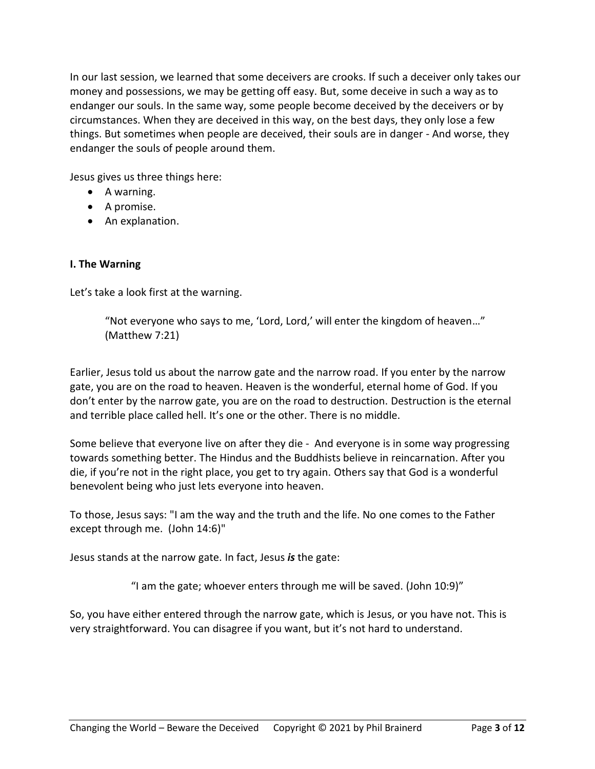In our last session, we learned that some deceivers are crooks. If such a deceiver only takes our money and possessions, we may be getting off easy. But, some deceive in such a way as to endanger our souls. In the same way, some people become deceived by the deceivers or by circumstances. When they are deceived in this way, on the best days, they only lose a few things. But sometimes when people are deceived, their souls are in danger - And worse, they endanger the souls of people around them.

Jesus gives us three things here:

- A warning.
- A promise.
- An explanation.

# **I. The Warning**

Let's take a look first at the warning.

"Not everyone who says to me, 'Lord, Lord,' will enter the kingdom of heaven…" (Matthew 7:21)

Earlier, Jesus told us about the narrow gate and the narrow road. If you enter by the narrow gate, you are on the road to heaven. Heaven is the wonderful, eternal home of God. If you don't enter by the narrow gate, you are on the road to destruction. Destruction is the eternal and terrible place called hell. It's one or the other. There is no middle.

Some believe that everyone live on after they die - And everyone is in some way progressing towards something better. The Hindus and the Buddhists believe in reincarnation. After you die, if you're not in the right place, you get to try again. Others say that God is a wonderful benevolent being who just lets everyone into heaven.

To those, Jesus says: "I am the way and the truth and the life. No one comes to the Father except through me. (John 14:6)"

Jesus stands at the narrow gate. In fact, Jesus *is* the gate:

"I am the gate; whoever enters through me will be saved. (John 10:9)"

So, you have either entered through the narrow gate, which is Jesus, or you have not. This is very straightforward. You can disagree if you want, but it's not hard to understand.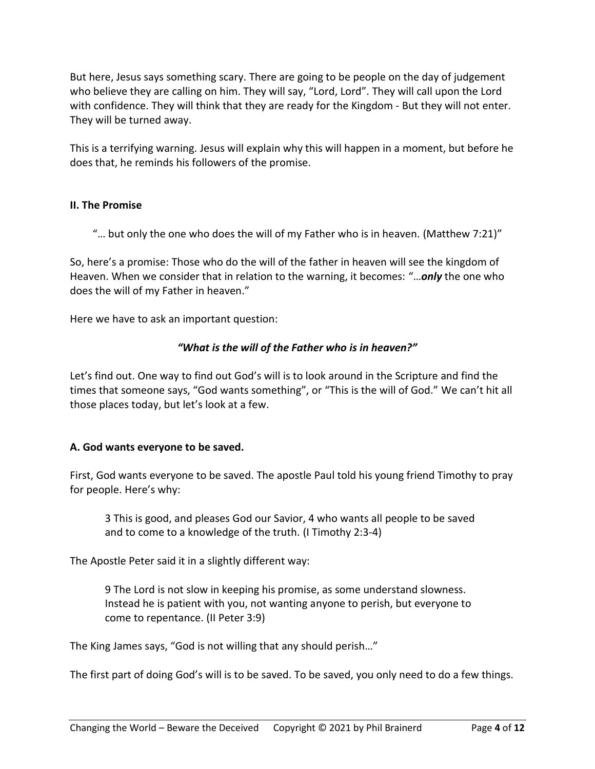But here, Jesus says something scary. There are going to be people on the day of judgement who believe they are calling on him. They will say, "Lord, Lord". They will call upon the Lord with confidence. They will think that they are ready for the Kingdom - But they will not enter. They will be turned away.

This is a terrifying warning. Jesus will explain why this will happen in a moment, but before he does that, he reminds his followers of the promise.

#### **II. The Promise**

"... but only the one who does the will of my Father who is in heaven. (Matthew 7:21)"

So, here's a promise: Those who do the will of the father in heaven will see the kingdom of Heaven. When we consider that in relation to the warning, it becomes: "…*only* the one who does the will of my Father in heaven."

Here we have to ask an important question:

## *"What is the will of the Father who is in heaven?"*

Let's find out. One way to find out God's will is to look around in the Scripture and find the times that someone says, "God wants something", or "This is the will of God." We can't hit all those places today, but let's look at a few.

#### **A. God wants everyone to be saved.**

First, God wants everyone to be saved. The apostle Paul told his young friend Timothy to pray for people. Here's why:

3 This is good, and pleases God our Savior, 4 who wants all people to be saved and to come to a knowledge of the truth. (I Timothy 2:3-4)

The Apostle Peter said it in a slightly different way:

9 The Lord is not slow in keeping his promise, as some understand slowness. Instead he is patient with you, not wanting anyone to perish, but everyone to come to repentance. (II Peter 3:9)

The King James says, "God is not willing that any should perish…"

The first part of doing God's will is to be saved. To be saved, you only need to do a few things.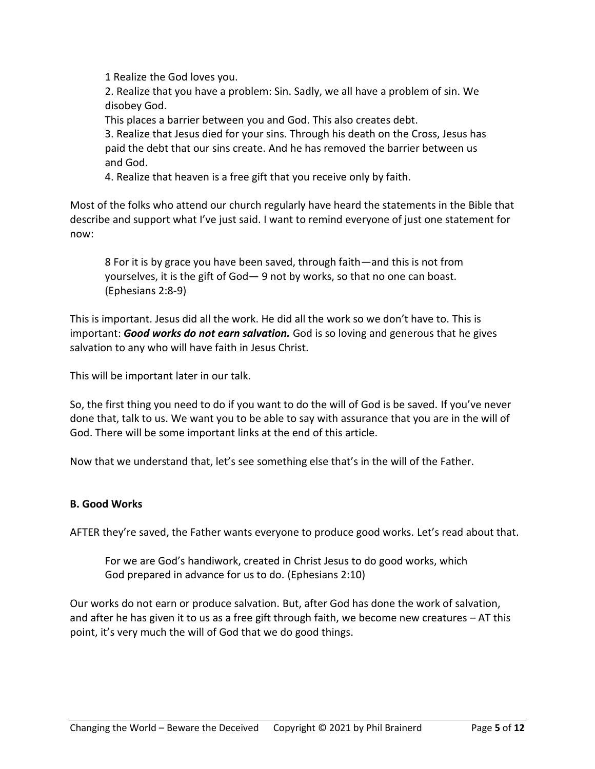1 Realize the God loves you.

2. Realize that you have a problem: Sin. Sadly, we all have a problem of sin. We disobey God.

This places a barrier between you and God. This also creates debt.

3. Realize that Jesus died for your sins. Through his death on the Cross, Jesus has paid the debt that our sins create. And he has removed the barrier between us and God.

4. Realize that heaven is a free gift that you receive only by faith.

Most of the folks who attend our church regularly have heard the statements in the Bible that describe and support what I've just said. I want to remind everyone of just one statement for now:

8 For it is by grace you have been saved, through faith—and this is not from yourselves, it is the gift of God— 9 not by works, so that no one can boast. (Ephesians 2:8-9)

This is important. Jesus did all the work. He did all the work so we don't have to. This is important: *Good works do not earn salvation.* God is so loving and generous that he gives salvation to any who will have faith in Jesus Christ.

This will be important later in our talk.

So, the first thing you need to do if you want to do the will of God is be saved. If you've never done that, talk to us. We want you to be able to say with assurance that you are in the will of God. There will be some important links at the end of this article.

Now that we understand that, let's see something else that's in the will of the Father.

#### **B. Good Works**

AFTER they're saved, the Father wants everyone to produce good works. Let's read about that.

For we are God's handiwork, created in Christ Jesus to do good works, which God prepared in advance for us to do. (Ephesians 2:10)

Our works do not earn or produce salvation. But, after God has done the work of salvation, and after he has given it to us as a free gift through faith, we become new creatures – AT this point, it's very much the will of God that we do good things.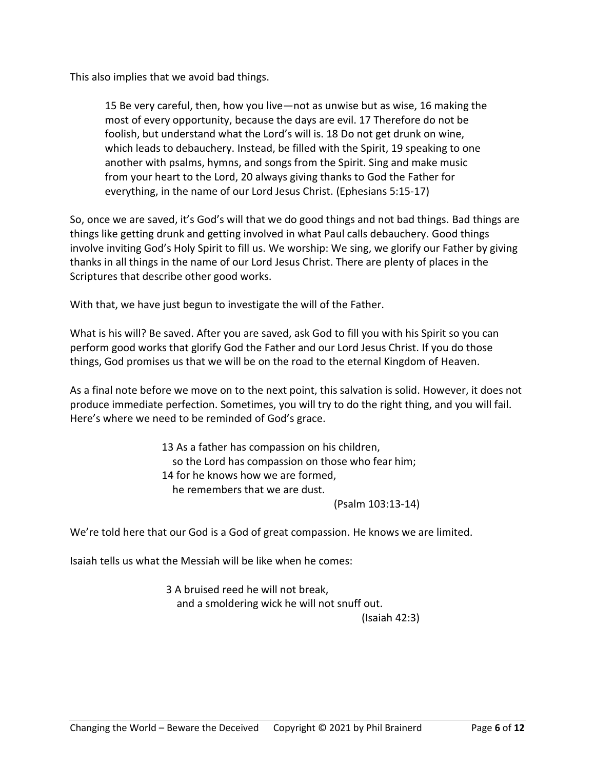This also implies that we avoid bad things.

15 Be very careful, then, how you live—not as unwise but as wise, 16 making the most of every opportunity, because the days are evil. 17 Therefore do not be foolish, but understand what the Lord's will is. 18 Do not get drunk on wine, which leads to debauchery. Instead, be filled with the Spirit, 19 speaking to one another with psalms, hymns, and songs from the Spirit. Sing and make music from your heart to the Lord, 20 always giving thanks to God the Father for everything, in the name of our Lord Jesus Christ. (Ephesians 5:15-17)

So, once we are saved, it's God's will that we do good things and not bad things. Bad things are things like getting drunk and getting involved in what Paul calls debauchery. Good things involve inviting God's Holy Spirit to fill us. We worship: We sing, we glorify our Father by giving thanks in all things in the name of our Lord Jesus Christ. There are plenty of places in the Scriptures that describe other good works.

With that, we have just begun to investigate the will of the Father.

What is his will? Be saved. After you are saved, ask God to fill you with his Spirit so you can perform good works that glorify God the Father and our Lord Jesus Christ. If you do those things, God promises us that we will be on the road to the eternal Kingdom of Heaven.

As a final note before we move on to the next point, this salvation is solid. However, it does not produce immediate perfection. Sometimes, you will try to do the right thing, and you will fail. Here's where we need to be reminded of God's grace.

> 13 As a father has compassion on his children, so the Lord has compassion on those who fear him; 14 for he knows how we are formed, he remembers that we are dust.

(Psalm 103:13-14)

We're told here that our God is a God of great compassion. He knows we are limited.

Isaiah tells us what the Messiah will be like when he comes:

3 A bruised reed he will not break, and a smoldering wick he will not snuff out. (Isaiah 42:3)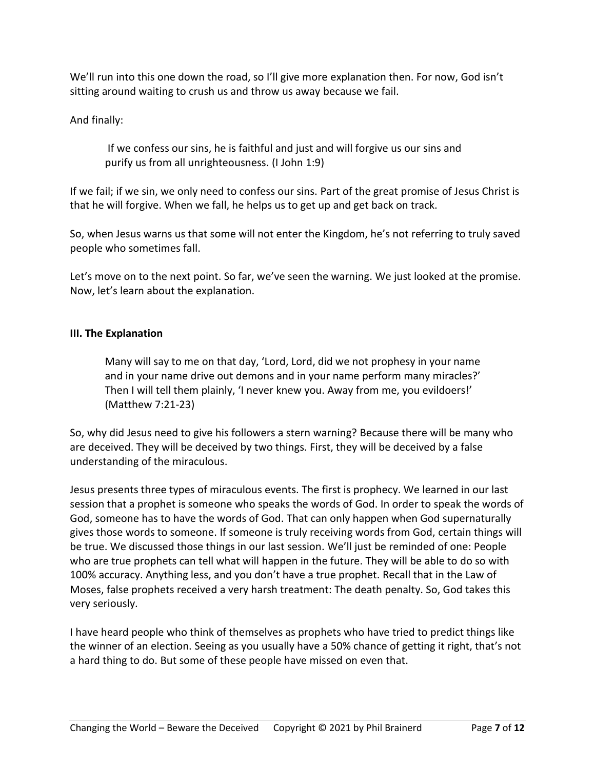We'll run into this one down the road, so I'll give more explanation then. For now, God isn't sitting around waiting to crush us and throw us away because we fail.

And finally:

If we confess our sins, he is faithful and just and will forgive us our sins and purify us from all unrighteousness. (I John 1:9)

If we fail; if we sin, we only need to confess our sins. Part of the great promise of Jesus Christ is that he will forgive. When we fall, he helps us to get up and get back on track.

So, when Jesus warns us that some will not enter the Kingdom, he's not referring to truly saved people who sometimes fall.

Let's move on to the next point. So far, we've seen the warning. We just looked at the promise. Now, let's learn about the explanation.

# **III. The Explanation**

Many will say to me on that day, 'Lord, Lord, did we not prophesy in your name and in your name drive out demons and in your name perform many miracles?' Then I will tell them plainly, 'I never knew you. Away from me, you evildoers!' (Matthew 7:21-23)

So, why did Jesus need to give his followers a stern warning? Because there will be many who are deceived. They will be deceived by two things. First, they will be deceived by a false understanding of the miraculous.

Jesus presents three types of miraculous events. The first is prophecy. We learned in our last session that a prophet is someone who speaks the words of God. In order to speak the words of God, someone has to have the words of God. That can only happen when God supernaturally gives those words to someone. If someone is truly receiving words from God, certain things will be true. We discussed those things in our last session. We'll just be reminded of one: People who are true prophets can tell what will happen in the future. They will be able to do so with 100% accuracy. Anything less, and you don't have a true prophet. Recall that in the Law of Moses, false prophets received a very harsh treatment: The death penalty. So, God takes this very seriously.

I have heard people who think of themselves as prophets who have tried to predict things like the winner of an election. Seeing as you usually have a 50% chance of getting it right, that's not a hard thing to do. But some of these people have missed on even that.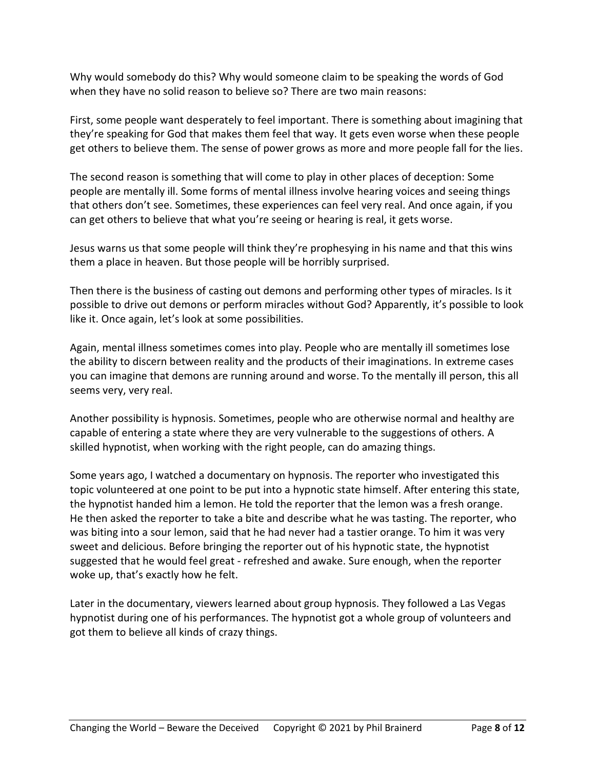Why would somebody do this? Why would someone claim to be speaking the words of God when they have no solid reason to believe so? There are two main reasons:

First, some people want desperately to feel important. There is something about imagining that they're speaking for God that makes them feel that way. It gets even worse when these people get others to believe them. The sense of power grows as more and more people fall for the lies.

The second reason is something that will come to play in other places of deception: Some people are mentally ill. Some forms of mental illness involve hearing voices and seeing things that others don't see. Sometimes, these experiences can feel very real. And once again, if you can get others to believe that what you're seeing or hearing is real, it gets worse.

Jesus warns us that some people will think they're prophesying in his name and that this wins them a place in heaven. But those people will be horribly surprised.

Then there is the business of casting out demons and performing other types of miracles. Is it possible to drive out demons or perform miracles without God? Apparently, it's possible to look like it. Once again, let's look at some possibilities.

Again, mental illness sometimes comes into play. People who are mentally ill sometimes lose the ability to discern between reality and the products of their imaginations. In extreme cases you can imagine that demons are running around and worse. To the mentally ill person, this all seems very, very real.

Another possibility is hypnosis. Sometimes, people who are otherwise normal and healthy are capable of entering a state where they are very vulnerable to the suggestions of others. A skilled hypnotist, when working with the right people, can do amazing things.

Some years ago, I watched a documentary on hypnosis. The reporter who investigated this topic volunteered at one point to be put into a hypnotic state himself. After entering this state, the hypnotist handed him a lemon. He told the reporter that the lemon was a fresh orange. He then asked the reporter to take a bite and describe what he was tasting. The reporter, who was biting into a sour lemon, said that he had never had a tastier orange. To him it was very sweet and delicious. Before bringing the reporter out of his hypnotic state, the hypnotist suggested that he would feel great - refreshed and awake. Sure enough, when the reporter woke up, that's exactly how he felt.

Later in the documentary, viewers learned about group hypnosis. They followed a Las Vegas hypnotist during one of his performances. The hypnotist got a whole group of volunteers and got them to believe all kinds of crazy things.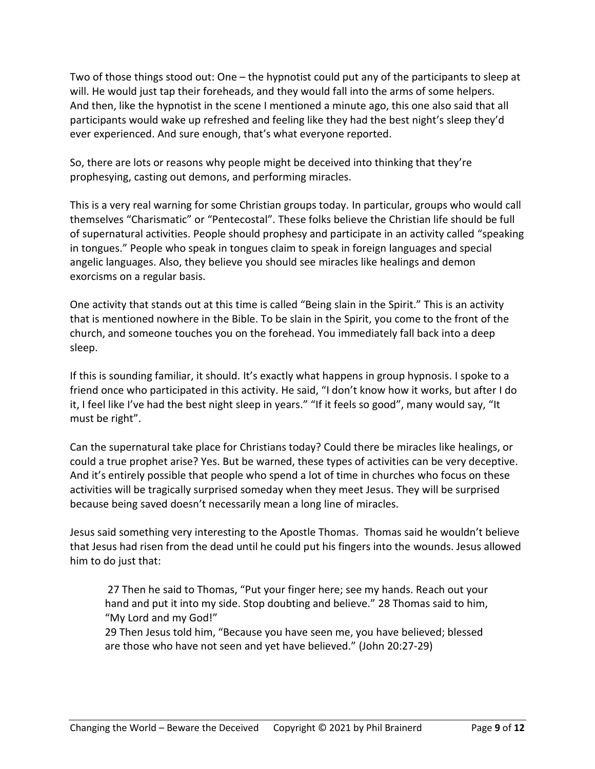Two of those things stood out: One – the hypnotist could put any of the participants to sleep at will. He would just tap their foreheads, and they would fall into the arms of some helpers. And then, like the hypnotist in the scene I mentioned a minute ago, this one also said that all participants would wake up refreshed and feeling like they had the best night's sleep they'd ever experienced. And sure enough, that's what everyone reported.

So, there are lots or reasons why people might be deceived into thinking that they're prophesying, casting out demons, and performing miracles.

This is a very real warning for some Christian groups today. In particular, groups who would call themselves "Charismatic" or "Pentecostal". These folks believe the Christian life should be full of supernatural activities. People should prophesy and participate in an activity called "speaking in tongues." People who speak in tongues claim to speak in foreign languages and special angelic languages. Also, they believe you should see miracles like healings and demon exorcisms on a regular basis.

One activity that stands out at this time is called "Being slain in the Spirit." This is an activity that is mentioned nowhere in the Bible. To be slain in the Spirit, you come to the front of the church, and someone touches you on the forehead. You immediately fall back into a deep sleep.

If this is sounding familiar, it should. It's exactly what happens in group hypnosis. I spoke to a friend once who participated in this activity. He said, "I don't know how it works, but after I do it, I feel like I've had the best night sleep in years." "If it feels so good", many would say, "It must be right".

Can the supernatural take place for Christians today? Could there be miracles like healings, or could a true prophet arise? Yes. But be warned, these types of activities can be very deceptive. And it's entirely possible that people who spend a lot of time in churches who focus on these activities will be tragically surprised someday when they meet Jesus. They will be surprised because being saved doesn't necessarily mean a long line of miracles.

Jesus said something very interesting to the Apostle Thomas. Thomas said he wouldn't believe that Jesus had risen from the dead until he could put his fingers into the wounds. Jesus allowed him to do just that:

27 Then he said to Thomas, "Put your finger here; see my hands. Reach out your hand and put it into my side. Stop doubting and believe." 28 Thomas said to him, "My Lord and my God!"

29 Then Jesus told him, "Because you have seen me, you have believed; blessed are those who have not seen and yet have believed." (John 20:27-29)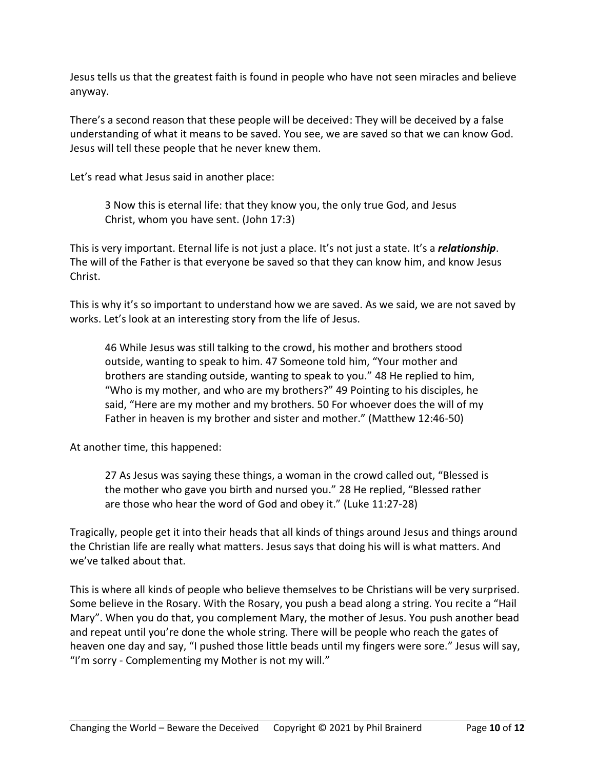Jesus tells us that the greatest faith is found in people who have not seen miracles and believe anyway.

There's a second reason that these people will be deceived: They will be deceived by a false understanding of what it means to be saved. You see, we are saved so that we can know God. Jesus will tell these people that he never knew them.

Let's read what Jesus said in another place:

3 Now this is eternal life: that they know you, the only true God, and Jesus Christ, whom you have sent. (John 17:3)

This is very important. Eternal life is not just a place. It's not just a state. It's a *relationship*. The will of the Father is that everyone be saved so that they can know him, and know Jesus Christ.

This is why it's so important to understand how we are saved. As we said, we are not saved by works. Let's look at an interesting story from the life of Jesus.

46 While Jesus was still talking to the crowd, his mother and brothers stood outside, wanting to speak to him. 47 Someone told him, "Your mother and brothers are standing outside, wanting to speak to you." 48 He replied to him, "Who is my mother, and who are my brothers?" 49 Pointing to his disciples, he said, "Here are my mother and my brothers. 50 For whoever does the will of my Father in heaven is my brother and sister and mother." (Matthew 12:46-50)

At another time, this happened:

27 As Jesus was saying these things, a woman in the crowd called out, "Blessed is the mother who gave you birth and nursed you." 28 He replied, "Blessed rather are those who hear the word of God and obey it." (Luke 11:27-28)

Tragically, people get it into their heads that all kinds of things around Jesus and things around the Christian life are really what matters. Jesus says that doing his will is what matters. And we've talked about that.

This is where all kinds of people who believe themselves to be Christians will be very surprised. Some believe in the Rosary. With the Rosary, you push a bead along a string. You recite a "Hail Mary". When you do that, you complement Mary, the mother of Jesus. You push another bead and repeat until you're done the whole string. There will be people who reach the gates of heaven one day and say, "I pushed those little beads until my fingers were sore." Jesus will say, "I'm sorry - Complementing my Mother is not my will."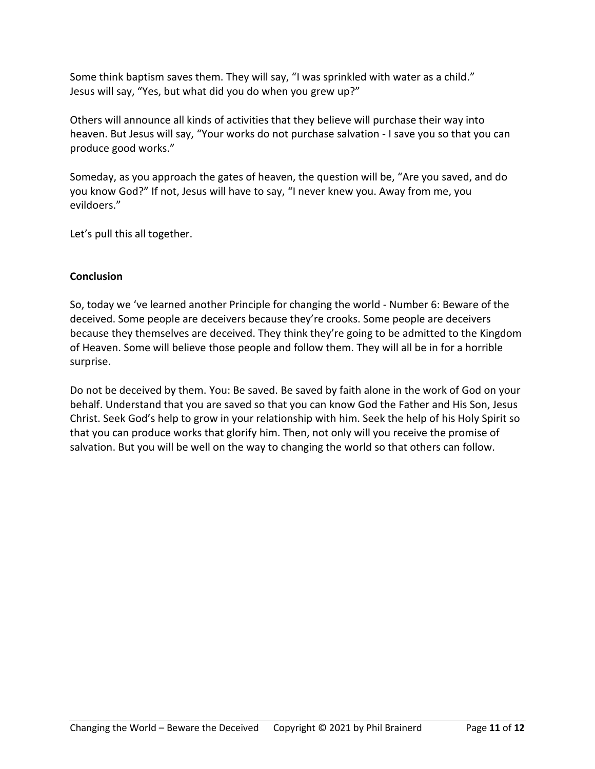Some think baptism saves them. They will say, "I was sprinkled with water as a child." Jesus will say, "Yes, but what did you do when you grew up?"

Others will announce all kinds of activities that they believe will purchase their way into heaven. But Jesus will say, "Your works do not purchase salvation - I save you so that you can produce good works."

Someday, as you approach the gates of heaven, the question will be, "Are you saved, and do you know God?" If not, Jesus will have to say, "I never knew you. Away from me, you evildoers."

Let's pull this all together.

## **Conclusion**

So, today we 've learned another Principle for changing the world - Number 6: Beware of the deceived. Some people are deceivers because they're crooks. Some people are deceivers because they themselves are deceived. They think they're going to be admitted to the Kingdom of Heaven. Some will believe those people and follow them. They will all be in for a horrible surprise.

Do not be deceived by them. You: Be saved. Be saved by faith alone in the work of God on your behalf. Understand that you are saved so that you can know God the Father and His Son, Jesus Christ. Seek God's help to grow in your relationship with him. Seek the help of his Holy Spirit so that you can produce works that glorify him. Then, not only will you receive the promise of salvation. But you will be well on the way to changing the world so that others can follow.